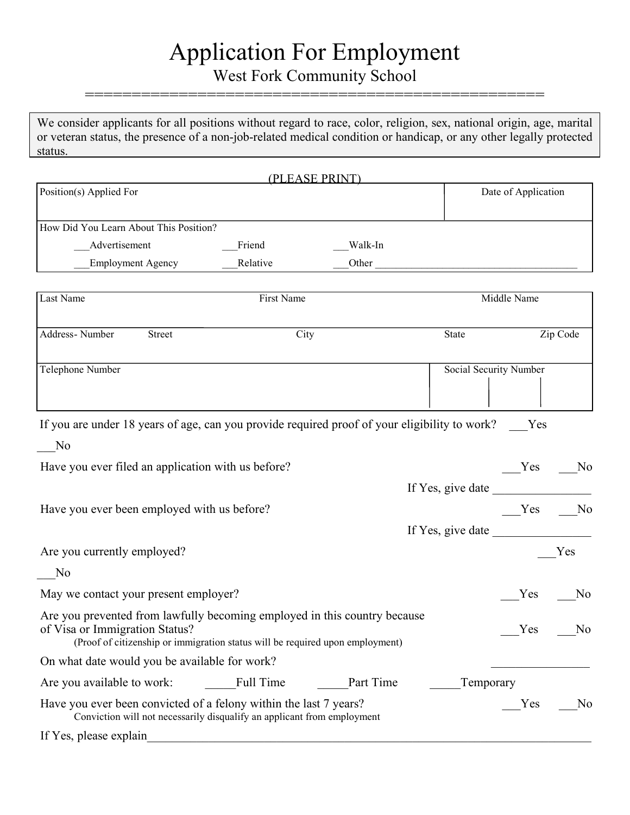# Application For Employment

West Fork Community School =================================================

We consider applicants for all positions without regard to race, color, religion, sex, national origin, age, marital or veteran status, the presence of a non-job-related medical condition or handicap, or any other legally protected status.

|                                                                                                                                                                                              |            | (PLEASE PRINT) |                               |                     |                |
|----------------------------------------------------------------------------------------------------------------------------------------------------------------------------------------------|------------|----------------|-------------------------------|---------------------|----------------|
| Position(s) Applied For                                                                                                                                                                      |            |                |                               | Date of Application |                |
| How Did You Learn About This Position?                                                                                                                                                       |            |                |                               |                     |                |
| Advertisement                                                                                                                                                                                | Friend     | Walk-In        |                               |                     |                |
| <b>Employment Agency</b>                                                                                                                                                                     | Relative   |                | Other                         |                     |                |
| Last Name                                                                                                                                                                                    | First Name |                |                               | Middle Name         |                |
| Address-Number<br>Street                                                                                                                                                                     | City       |                | State                         |                     | Zip Code       |
| <b>Telephone Number</b>                                                                                                                                                                      |            |                | <b>Social Security Number</b> |                     |                |
| If you are under 18 years of age, can you provide required proof of your eligibility to work? Yes<br>No<br>Have you ever filed an application with us before?                                |            |                |                               | Yes                 | N <sub>0</sub> |
| Have you ever been employed with us before?                                                                                                                                                  |            |                |                               | $Yes$ No            |                |
| Are you currently employed?                                                                                                                                                                  |            |                |                               |                     | Yes            |
| No                                                                                                                                                                                           |            |                |                               |                     |                |
| May we contact your present employer?                                                                                                                                                        |            |                |                               | Yes                 | N <sub>0</sub> |
| Are you prevented from lawfully becoming employed in this country because<br>of Visa or Immigration Status?<br>(Proof of citizenship or immigration status will be required upon employment) |            |                |                               | Yes                 | No             |
| On what date would you be available for work?                                                                                                                                                |            |                |                               |                     |                |
| Are you available to work:                                                                                                                                                                   | Full Time  | Part Time      | Temporary                     |                     |                |
| Have you ever been convicted of a felony within the last 7 years?<br>Conviction will not necessarily disqualify an applicant from employment                                                 |            |                |                               | Yes                 | N <sub>0</sub> |
| If Yes, please explain                                                                                                                                                                       |            |                |                               |                     |                |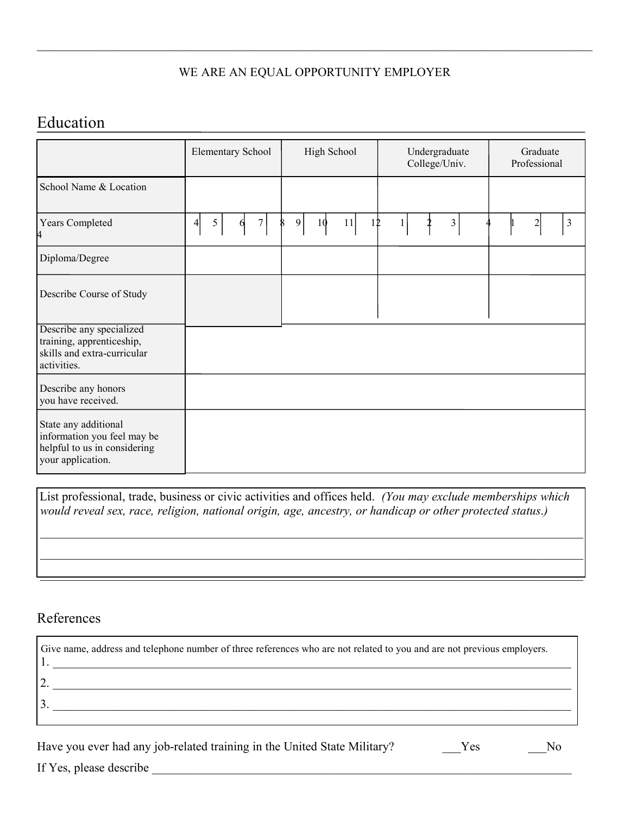#### WE ARE AN EQUAL OPPORTUNITY EMPLOYER

 $\mathcal{L}_\mathcal{L} = \mathcal{L}_\mathcal{L} = \mathcal{L}_\mathcal{L} = \mathcal{L}_\mathcal{L} = \mathcal{L}_\mathcal{L} = \mathcal{L}_\mathcal{L} = \mathcal{L}_\mathcal{L} = \mathcal{L}_\mathcal{L} = \mathcal{L}_\mathcal{L} = \mathcal{L}_\mathcal{L} = \mathcal{L}_\mathcal{L} = \mathcal{L}_\mathcal{L} = \mathcal{L}_\mathcal{L} = \mathcal{L}_\mathcal{L} = \mathcal{L}_\mathcal{L} = \mathcal{L}_\mathcal{L} = \mathcal{L}_\mathcal{L}$ 

## Education

|                                                                                                          | <b>Elementary School</b>       | High School         | Undergraduate<br>College/Univ. | Graduate<br>Professional     |
|----------------------------------------------------------------------------------------------------------|--------------------------------|---------------------|--------------------------------|------------------------------|
| School Name & Location                                                                                   |                                |                     |                                |                              |
| Years Completed<br>4                                                                                     | 5<br>$7\vert$<br>4<br>$\theta$ | 9<br>11<br>10<br>12 | 3                              | $\overline{\mathbf{c}}$<br>3 |
| Diploma/Degree                                                                                           |                                |                     |                                |                              |
| Describe Course of Study                                                                                 |                                |                     |                                |                              |
| Describe any specialized<br>training, apprenticeship,<br>skills and extra-curricular<br>activities.      |                                |                     |                                |                              |
| Describe any honors<br>you have received.                                                                |                                |                     |                                |                              |
| State any additional<br>information you feel may be<br>helpful to us in considering<br>your application. |                                |                     |                                |                              |

List professional, trade, business or civic activities and offices held. *(You may exclude memberships which would reveal sex, race, religion, national origin, age, ancestry, or handicap or other protected status*.*)*

 $\mathcal{L}_\mathcal{L} = \{ \mathcal{L}_\mathcal{L} = \{ \mathcal{L}_\mathcal{L} = \{ \mathcal{L}_\mathcal{L} = \{ \mathcal{L}_\mathcal{L} = \{ \mathcal{L}_\mathcal{L} = \{ \mathcal{L}_\mathcal{L} = \{ \mathcal{L}_\mathcal{L} = \{ \mathcal{L}_\mathcal{L} = \{ \mathcal{L}_\mathcal{L} = \{ \mathcal{L}_\mathcal{L} = \{ \mathcal{L}_\mathcal{L} = \{ \mathcal{L}_\mathcal{L} = \{ \mathcal{L}_\mathcal{L} = \{ \mathcal{L}_\mathcal{$ 

 $\mathcal{L}_\mathcal{L} = \{ \mathcal{L}_\mathcal{L} = \{ \mathcal{L}_\mathcal{L} = \{ \mathcal{L}_\mathcal{L} = \{ \mathcal{L}_\mathcal{L} = \{ \mathcal{L}_\mathcal{L} = \{ \mathcal{L}_\mathcal{L} = \{ \mathcal{L}_\mathcal{L} = \{ \mathcal{L}_\mathcal{L} = \{ \mathcal{L}_\mathcal{L} = \{ \mathcal{L}_\mathcal{L} = \{ \mathcal{L}_\mathcal{L} = \{ \mathcal{L}_\mathcal{L} = \{ \mathcal{L}_\mathcal{L} = \{ \mathcal{L}_\mathcal{$ 

 $\frac{1}{2}$  ,  $\frac{1}{2}$  ,  $\frac{1}{2}$  ,  $\frac{1}{2}$  ,  $\frac{1}{2}$  ,  $\frac{1}{2}$  ,  $\frac{1}{2}$  ,  $\frac{1}{2}$  ,  $\frac{1}{2}$  ,  $\frac{1}{2}$  ,  $\frac{1}{2}$  ,  $\frac{1}{2}$  ,  $\frac{1}{2}$  ,  $\frac{1}{2}$  ,  $\frac{1}{2}$  ,  $\frac{1}{2}$  ,  $\frac{1}{2}$  ,  $\frac{1}{2}$  ,  $\frac{1$ 

### References

| Give name, address and telephone number of three references who are not related to you and are not previous employers. |
|------------------------------------------------------------------------------------------------------------------------|
|                                                                                                                        |
|                                                                                                                        |
|                                                                                                                        |

| Have you ever had any job-related training in the United State Military? | Yes | No |
|--------------------------------------------------------------------------|-----|----|
|                                                                          |     |    |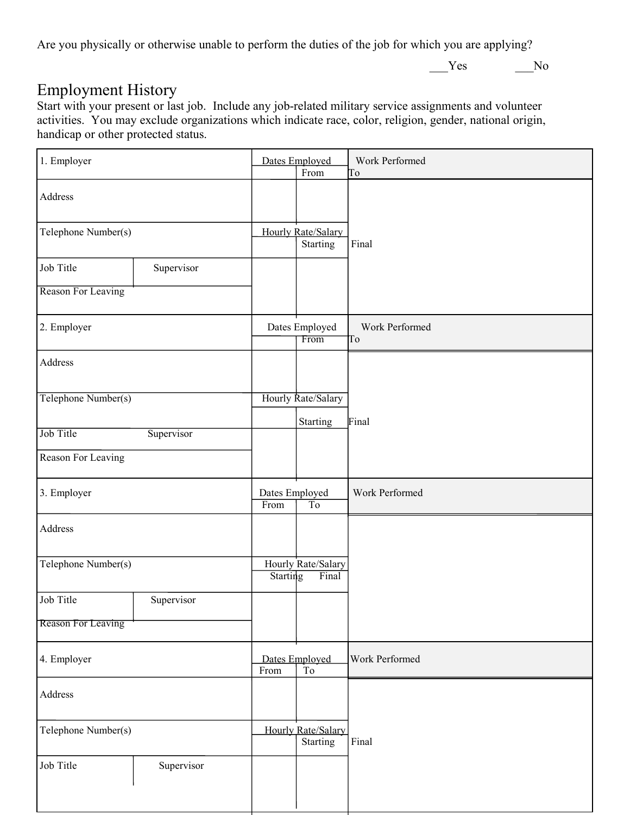Are you physically or otherwise unable to perform the duties of the job for which you are applying?

\_\_\_Yes \_\_\_No

## Employment History

Start with your present or last job. Include any job-related military service assignments and volunteer activities. You may exclude organizations which indicate race, color, religion, gender, national origin, handicap or other protected status.

| 1. Employer               |            |                        | Dates Employed<br>From         | Work Performed<br>To |
|---------------------------|------------|------------------------|--------------------------------|----------------------|
| Address                   |            |                        |                                |                      |
| Telephone Number(s)       |            |                        | Hourly Rate/Salary<br>Starting | Final                |
| Job Title                 | Supervisor |                        |                                |                      |
| Reason For Leaving        |            |                        |                                |                      |
| 2. Employer               |            |                        | Dates Employed<br>From         | Work Performed<br>To |
| Address                   |            |                        |                                |                      |
| Telephone Number(s)       |            |                        | Hourly Rate/Salary             |                      |
| Job Title                 | Supervisor |                        | Starting                       | Final                |
| Reason For Leaving        |            |                        |                                |                      |
| 3. Employer               |            | Dates Employed<br>From | T <sub>0</sub>                 | Work Performed       |
| Address                   |            |                        |                                |                      |
| Telephone Number(s)       |            | <b>Starting</b>        | Hourly Rate/Salary<br>Final    |                      |
| Job Title                 | Supervisor |                        |                                |                      |
| <b>Reason For Leaving</b> |            |                        |                                |                      |
| 4. Employer               |            | From                   | Dates Employed<br>To           | Work Performed       |
| Address                   |            |                        |                                |                      |
| Telephone Number(s)       |            |                        | Hourly Rate/Salary<br>Starting | Final                |
| Job Title                 | Supervisor |                        |                                |                      |